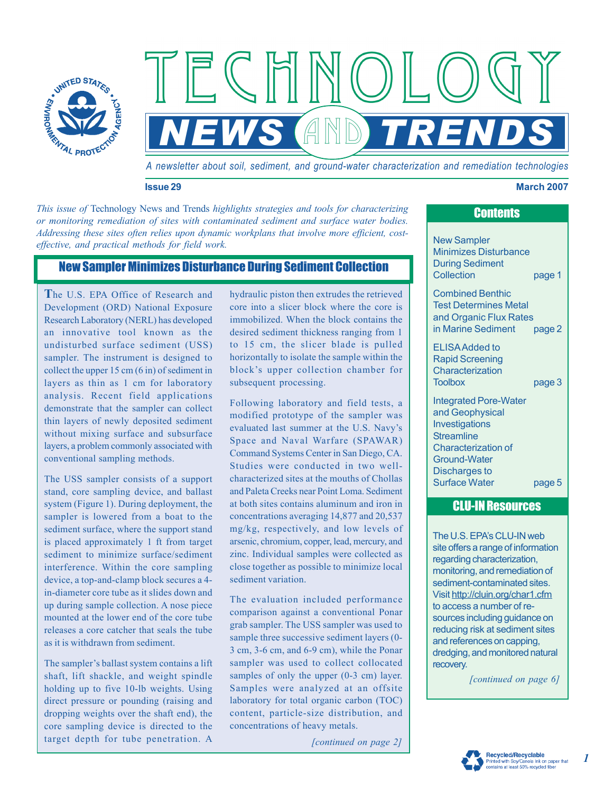

*A newsletter about soil, sediment, and ground-water characterization and remediation technologies* 

*NEWS* and *TRENDS*

#### **Issue 29 March 2007**

*This issue of* Technology News and Trends *highlights strategies and tools for characterizing or monitoring remediation of sites with contaminated sediment and surface water bodies. Addressing these sites often relies upon dynamic workplans that involve more efficient, costeffective, and practical methods for field work.* 

### New Sampler Minimizes Disturbance During Sediment Collection

**T**he U.S. EPA Office of Research and Development (ORD) National Exposure Research Laboratory (NERL) has developed an innovative tool known as the undisturbed surface sediment (USS) sampler. The instrument is designed to collect the upper 15 cm (6 in) of sediment in layers as thin as 1 cm for laboratory analysis. Recent field applications demonstrate that the sampler can collect thin layers of newly deposited sediment without mixing surface and subsurface layers, a problem commonly associated with conventional sampling methods.

The USS sampler consists of a support stand, core sampling device, and ballast system (Figure 1). During deployment, the sampler is lowered from a boat to the sediment surface, where the support stand is placed approximately 1 ft from target sediment to minimize surface/sediment interference. Within the core sampling device, a top-and-clamp block secures a 4 in-diameter core tube as it slides down and up during sample collection. A nose piece mounted at the lower end of the core tube releases a core catcher that seals the tube as it is withdrawn from sediment.

The sampler's ballast system contains a lift shaft, lift shackle, and weight spindle target depth for tube penetration. A holding up to five 10-lb weights. Using direct pressure or pounding (raising and dropping weights over the shaft end), the core sampling device is directed to the hydraulic piston then extrudes the retrieved core into a slicer block where the core is immobilized. When the block contains the desired sediment thickness ranging from 1 to 15 cm, the slicer blade is pulled horizontally to isolate the sample within the block's upper collection chamber for subsequent processing.

Following laboratory and field tests, a modified prototype of the sampler was evaluated last summer at the U.S. Navy's Space and Naval Warfare (SPAWAR) Command Systems Center in San Diego, CA. Studies were conducted in two wellcharacterized sites at the mouths of Chollas and Paleta Creeks near Point Loma. Sediment at both sites contains aluminum and iron in concentrations averaging 14,877 and 20,537 mg/kg, respectively, and low levels of arsenic, chromium, copper, lead, mercury, and zinc. Individual samples were collected as close together as possible to minimize local sediment variation.

Samples were analyzed at an offsite content, particle-size distribution, and The evaluation included performance comparison against a conventional Ponar grab sampler. The USS sampler was used to sample three successive sediment layers (0- 3 cm, 3-6 cm, and 6-9 cm), while the Ponar sampler was used to collect collocated samples of only the upper  $(0-3 \text{ cm})$  layer. laboratory for total organic carbon (TOC) concentrations of heavy metals.

*[continued on page 2]* 

# **Contents**

New Sampler Minimizes Disturbance During Sediment Collection page 1

Combined Benthic Test Determines Metal and Organic Flux Rates in Marine Sediment page 2

ELISA Added to Rapid Screening **Characterization** Toolbox page 3

Integrated Pore-Water and Geophysical Investigations **Streamline** Characterization of Ground-Water Discharges to Surface Water page 5

### CLU-IN Resources

The U.S. EPA's CLU-IN web site offers a range of information regarding characterization, monitoring, and remediation of sediment-contaminated sites. Visit<http://cluin.org/char1.cfm> to access a number of resources including guidance on reducing risk at sediment sites and references on capping, dredging, and monitored natural recovery.

*[continued on page 6]*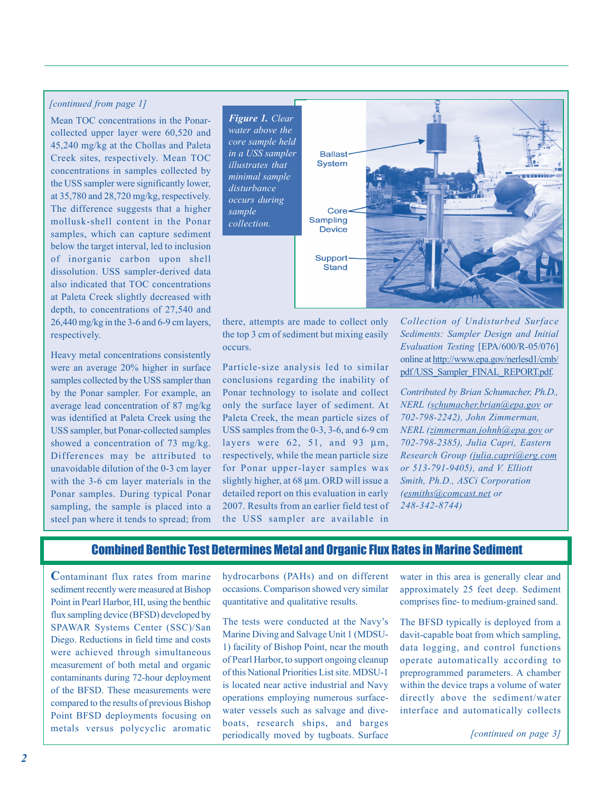### *[continued from page 1]*

Mean TOC concentrations in the Ponarcollected upper layer were 60,520 and 45,240 mg/kg at the Chollas and Paleta Creek sites, respectively. Mean TOC concentrations in samples collected by the USS sampler were significantly lower, at 35,780 and 28,720 mg/kg, respectively. The difference suggests that a higher mollusk-shell content in the Ponar samples, which can capture sediment below the target interval, led to inclusion of inorganic carbon upon shell dissolution. USS sampler-derived data also indicated that TOC concentrations at Paleta Creek slightly decreased with depth, to concentrations of 27,540 and 26,440 mg/kg in the 3-6 and 6-9 cm layers, respectively.

Heavy metal concentrations consistently were an average 20% higher in surface samples collected by the USS sampler than by the Ponar sampler. For example, an average lead concentration of 87 mg/kg was identified at Paleta Creek using the USS sampler, but Ponar-collected samples showed a concentration of 73 mg/kg. Differences may be attributed to unavoidable dilution of the 0-3 cm layer with the 3-6 cm layer materials in the Ponar samples. During typical Ponar sampling, the sample is placed into a steel pan where it tends to spread; from



there, attempts are made to collect only the top 3 cm of sediment but mixing easily occurs.

Particle-size analysis led to similar conclusions regarding the inability of Ponar technology to isolate and collect only the surface layer of sediment. At Paleta Creek, the mean particle sizes of USS samples from the 0-3, 3-6, and 6-9 cm layers were  $62$ ,  $51$ , and  $93 \mu m$ , respectively, while the mean particle size for Ponar upper-layer samples was slightly higher, at 68 um. ORD will issue a detailed report on this evaluation in early 2007. Results from an earlier field test of the USS sampler are available in

*Collection of Undisturbed Surface Sediments: Sampler Design and Initial Evaluation Testing* [EPA/600/R-05/076] online at [http://www.epa.gov/nerlesd1/cmb/](http://www.epa.gov/nerlesd1/cmb)  pdf/USS\_Sampler\_FINAL\_REPORT.pdf.

*Contributed by Brian Schumacher, Ph.D., NERL (schumacher[.brian@epa.gov or](mailto:brian@epa.gov) 702-798-2242), John Zimmerman, NERL (zimmerman.[johnh@epa.gov or](mailto:johnh@epa.gov) 702-798-2385), Julia Capri, Eastern Research Group (julia.[capri@erg.com](mailto:capri@erg.com)  or 513-791-9405), and V. Elliott Smith, Ph.D., ASCi Corporation [\(esmiths@comcast.net or](mailto:esmiths@comcast.netor248-342-8744) [248-342-8744\)](mailto:esmiths@comcast.netor248-342-8744)* 

### Combined Benthic Test Determines Metal and Organic Flux Rates in Marine Sediment

**C**ontaminant flux rates from marine sediment recently were measured at Bishop Point in Pearl Harbor, HI, using the benthic flux sampling device (BFSD) developed by SPAWAR Systems Center (SSC)/San Diego. Reductions in field time and costs were achieved through simultaneous measurement of both metal and organic contaminants during 72-hour deployment of the BFSD. These measurements were compared to the results of previous Bishop Point BFSD deployments focusing on metals versus polycyclic aromatic hydrocarbons (PAHs) and on different occasions. Comparison showed very similar quantitative and qualitative results.

The tests were conducted at the Navy's Marine Diving and Salvage Unit 1 (MDSU-1) facility of Bishop Point, near the mouth of Pearl Harbor, to support ongoing cleanup of this National Priorities List site. MDSU-1 is located near active industrial and Navy operations employing numerous surfacewater vessels such as salvage and diveboats, research ships, and barges periodically moved by tugboats. Surface

water in this area is generally clear and approximately 25 feet deep. Sediment comprises fine- to medium-grained sand.

The BFSD typically is deployed from a davit-capable boat from which sampling, data logging, and control functions operate automatically according to preprogrammed parameters. A chamber within the device traps a volume of water directly above the sediment/water interface and automatically collects

*[continued on page 3]*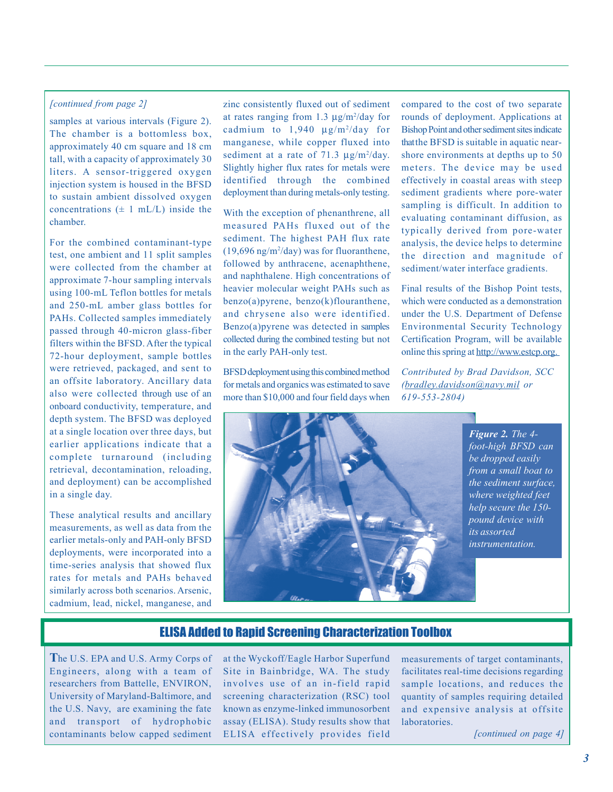#### *[continued from page 2]*

samples at various intervals (Figure 2). The chamber is a bottomless box, approximately 40 cm square and 18 cm tall, with a capacity of approximately 30 liters. A sensor-triggered oxygen injection system is housed in the BFSD to sustain ambient dissolved oxygen concentrations  $(\pm 1 \text{ mL/L})$  inside the chamber.

For the combined contaminant-type test, one ambient and 11 split samples were collected from the chamber at approximate 7-hour sampling intervals using 100-mL Teflon bottles for metals and 250-mL amber glass bottles for PAHs. Collected samples immediately passed through 40-micron glass-fiber filters within the BFSD. After the typical 72-hour deployment, sample bottles were retrieved, packaged, and sent to an offsite laboratory. Ancillary data also were collected through use of an onboard conductivity, temperature, and depth system. The BFSD was deployed at a single location over three days, but earlier applications indicate that a complete turnaround (including retrieval, decontamination, reloading, and deployment) can be accomplished in a single day.

These analytical results and ancillary measurements, as well as data from the earlier metals-only and PAH-only BFSD deployments, were incorporated into a time-series analysis that showed flux rates for metals and PAHs behaved similarly across both scenarios. Arsenic, cadmium, lead, nickel, manganese, and zinc consistently fluxed out of sediment at rates ranging from 1.3  $\mu$ g/m<sup>2</sup>/day for cadmium to  $1,940 \text{ µg/m}^2/\text{day}$  for manganese, while copper fluxed into sediment at a rate of 71.3  $\mu$ g/m<sup>2</sup>/day. Slightly higher flux rates for metals were identified through the combined deployment than during metals-only testing.

With the exception of phenanthrene, all measured PAHs fluxed out of the sediment. The highest PAH flux rate  $(19,696 \text{ ng/m}^2/\text{day})$  was for fluoranthene, followed by anthracene, acenaphthene, and naphthalene. High concentrations of heavier molecular weight PAHs such as benzo(a)pyrene, benzo(k)flouranthene, and chrysene also were identified. Benzo(a)pyrene was detected in samples collected during the combined testing but not in the early PAH-only test.

BFSD deployment using this combined method for metals and organics was estimated to save more than \$10,000 and four field days when

compared to the cost of two separate rounds of deployment. Applications at Bishop Point and other sediment sites indicate thatthe BFSD is suitable in aquatic nearshore environments at depths up to 50 meters. The device may be used effectively in coastal areas with steep sediment gradients where pore-water sampling is difficult. In addition to evaluating contaminant diffusion, as typically derived from pore-water analysis, the device helps to determine the direction and magnitude of sediment/water interface gradients.

Final results of the Bishop Point tests, which were conducted as a demonstration under the U.S. Department of Defense Environmental Security Technology Certification Program, will be available online this spring at [http://www.estcp.org.](http://www.estcp.org) 

*Contributed by Brad Davidson, SCC (bradley.[davidson@navy.mil or](mailto:davidson@navy.mil) 619-553-2804)* 



*Figure 2. The 4 foot-high BFSD can be dropped easily from a small boat to the sediment surface, where weighted feet help secure the 150 pound device with its assorted instrumentation.* 

### ELISA Added to Rapid Screening Characterization Toolbox

**T**he U.S. EPA and U.S. Army Corps of Engineers, along with a team of researchers from Battelle, ENVIRON, University of Maryland-Baltimore, and the U.S. Navy, are examining the fate and transport of hydrophobic contaminants below capped sediment

at the Wyckoff/Eagle Harbor Superfund Site in Bainbridge, WA. The study involves use of an in-field rapid screening characterization (RSC) tool known as enzyme-linked immunosorbent assay (ELISA). Study results show that ELISA effectively provides field

measurements of target contaminants, facilitates real-time decisions regarding sample locations, and reduces the quantity of samples requiring detailed and expensive analysis at offsite laboratories.

*[continued on page 4]*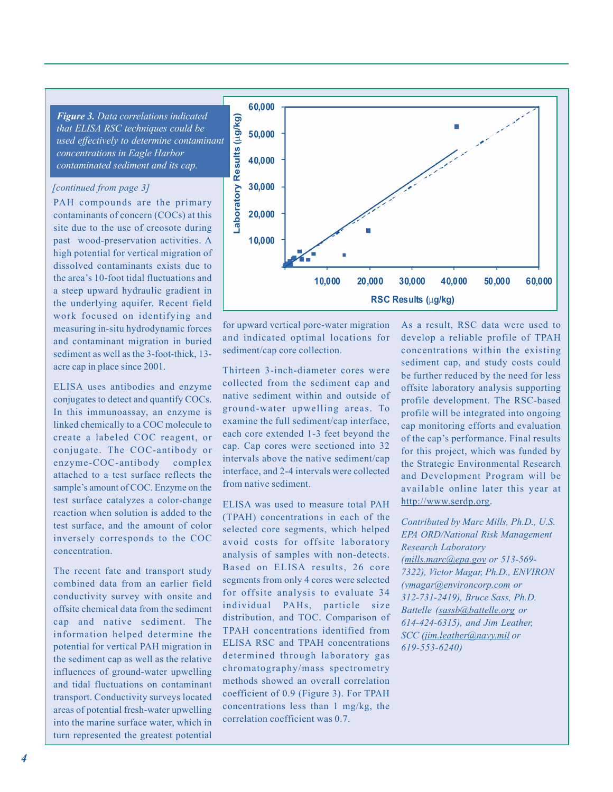*Figure 3. Data correlations indicated that ELISA RSC techniques could be used effectively to determine contaminant concentrations in Eagle Harbor contaminated sediment and its cap.* 

### *[continued from page 3]*

PAH compounds are the primary contaminants of concern (COCs) at this site due to the use of creosote during past wood-preservation activities. A high potential for vertical migration of dissolved contaminants exists due to the area's 10-foot tidal fluctuations and a steep upward hydraulic gradient in the underlying aquifer. Recent field work focused on identifying and measuring in-situ hydrodynamic forces and contaminant migration in buried sediment as well as the 3-foot-thick, 13 acre cap in place since 2001.

ELISA uses antibodies and enzyme conjugates to detect and quantify COCs. In this immunoassay, an enzyme is linked chemically to a COC molecule to create a labeled COC reagent, or conjugate. The COC-antibody or enzyme-COC-antibody complex attached to a test surface reflects the sample's amount of COC. Enzyme on the test surface catalyzes a color-change reaction when solution is added to the test surface, and the amount of color inversely corresponds to the COC concentration.

The recent fate and transport study combined data from an earlier field conductivity survey with onsite and offsite chemical data from the sediment cap and native sediment. The information helped determine the potential for vertical PAH migration in the sediment cap as well as the relative influences of ground-water upwelling and tidal fluctuations on contaminant transport. Conductivity surveys located areas of potential fresh-water upwelling into the marine surface water, which in turn represented the greatest potential



for upward vertical pore-water migration and indicated optimal locations for sediment/cap core collection.

Thirteen 3-inch-diameter cores were collected from the sediment cap and native sediment within and outside of ground-water upwelling areas. To examine the full sediment/cap interface, each core extended 1-3 feet beyond the cap. Cap cores were sectioned into 32 intervals above the native sediment/cap interface, and 2-4 intervals were collected from native sediment.

ELISA was used to measure total PAH (TPAH) concentrations in each of the selected core segments, which helped avoid costs for offsite laboratory analysis of samples with non-detects. Based on ELISA results, 26 core segments from only 4 cores were selected for offsite analysis to evaluate 34 individual PAHs, particle size distribution, and TOC. Comparison of TPAH concentrations identified from ELISA RSC and TPAH concentrations determined through laboratory gas chromatography/mass spectrometry methods showed an overall correlation coefficient of 0.9 (Figure 3). For TPAH concentrations less than 1 mg/kg, the correlation coefficient was 0.7.

As a result, RSC data were used to develop a reliable profile of TPAH concentrations within the existing sediment cap, and study costs could be further reduced by the need for less offsite laboratory analysis supporting profile development. The RSC-based profile will be integrated into ongoing cap monitoring efforts and evaluation of the cap's performance. Final results for this project, which was funded by the Strategic Environmental Research and Development Program will be available online later this year at [http://www.serdp.org.](http://www.serdp.org)

*Contributed by Marc Mills, Ph.D., U.S. EPA ORD/National Risk Management Research Laboratory (mills.[marc@epa.gov or](mailto:marc@epa.gov) 513-569 7322), Victor Magar, Ph.D., ENVIRON [\(vmagar@environcorp.com](mailto:vmagar@environcorp.comor312-731-2419) or [312-731-2419](mailto:vmagar@environcorp.comor312-731-2419)), Bruce Sass, Ph.D. Battelle [\(sassb@battelle.org or](mailto:sassb@battelle.orgor614-424-6315)  [614-424-6315\), an](mailto:sassb@battelle.orgor614-424-6315)d Jim Leather, SCC (jim[.leather@navy.mil or](mailto:leather@navy.mil) 619-553-6240)*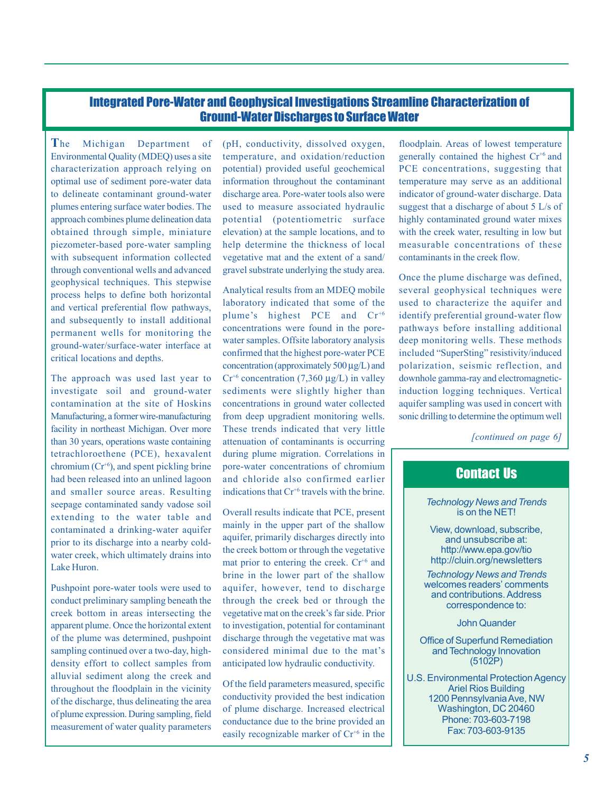## Integrated Pore-Water and Geophysical Investigations Stre amline Characterization of Ground-Water Discharges to Surface Water

**T**he Michigan Department of Environmental Quality (MDEQ) uses a site characterization approach relying on optimal use of sediment pore-water data to delineate contaminant ground-water plumes entering surface water bodies. The approach combines plume delineation data obtained through simple, miniature piezometer-based pore-water sampling with subsequent information collected through conventional wells and advanced geophysical techniques. This stepwise process helps to define both horizontal and vertical preferential flow pathways, and subsequently to install additional permanent wells for monitoring the ground-water/surface-water interface at critical locations and depths.

The approach was used last year to investigate soil and ground-water contamination at the site of Hoskins Manufacturing, a former wire-manufacturing facility in northeast Michigan. Over more than 30 years, operations waste containing tetrachloroethene (PCE), hexavalent chromium  $(Cr^{+6})$ , and spent pickling brine had been released into an unlined lagoon and smaller source areas. Resulting seepage contaminated sandy vadose soil extending to the water table and contaminated a drinking-water aquifer prior to its discharge into a nearby coldwater creek, which ultimately drains into Lake Huron.

Pushpoint pore-water tools were used to conduct preliminary sampling beneath the creek bottom in areas intersecting the apparent plume. Once the horizontal extent of the plume was determined, pushpoint sampling continued over a two-day, highdensity effort to collect samples from alluvial sediment along the creek and throughout the floodplain in the vicinity of the discharge, thus delineating the area of plume expression. During sampling, field measurement of water quality parameters (pH, conductivity, dissolved oxygen, temperature, and oxidation/reduction potential) provided useful geochemical information throughout the contaminant discharge area. Pore-water tools also were used to measure associated hydraulic potential (potentiometric surface elevation) at the sample locations, and to help determine the thickness of local vegetative mat and the extent of a sand/ gravel substrate underlying the study area.

Analytical results from an MDEQ mobile laboratory indicated that some of the plume's highest PCE and Cr<sup>+6</sup> concentrations were found in the porewater samples. Offsite laboratory analysis confirmed that the highest pore-water PCE concentration (approximately 500 µg/L) and  $Cr^{+6}$  concentration (7,360 µg/L) in valley sediments were slightly higher than concentrations in ground water collected from deep upgradient monitoring wells. These trends indicated that very little attenuation of contaminants is occurring during plume migration. Correlations in pore-water concentrations of chromium and chloride also confirmed earlier indications that  $Cr^{+6}$  travels with the brine.

Overall results indicate that PCE, present mainly in the upper part of the shallow aquifer, primarily discharges directly into the creek bottom or through the vegetative mat prior to entering the creek.  $Cr<sup>+6</sup>$  and brine in the lower part of the shallow aquifer, however, tend to discharge through the creek bed or through the vegetative mat on the creek's far side. Prior to investigation, potential for contaminant discharge through the vegetative mat was considered minimal due to the mat's anticipated low hydraulic conductivity.

Of the field parameters measured, specific conductivity provided the best indication of plume discharge. Increased electrical conductance due to the brine provided an easily recognizable marker of  $Cr<sup>+6</sup>$  in the

floodplain. Areas of lowest temperature generally contained the highest  $Cr^{+6}$  and PCE concentrations, suggesting that temperature may serve as an additional indicator of ground-water discharge. Data suggest that a discharge of about 5 L/s of highly contaminated ground water mixes with the creek water, resulting in low but measurable concentrations of these contaminants in the creek flow.

Once the plume discharge was defined, several geophysical techniques were used to characterize the aquifer and identify preferential ground-water flow pathways before installing additional deep monitoring wells. These methods included "SuperSting" resistivity/induced polarization, seismic reflection, and downhole gamma-ray and electromagneticinduction logging techniques. Vertical aquifer sampling was used in concert with sonic drilling to determine the optimum well

*[continued on page 6]* 

# Contact Us

*Technology News and Trends* is on the NET!

View, download, subscribe, and unsubscribe at: [http://www.epa.gov/tio](http://www.epa.gov/tiohttp://cluin.org/newsletters) [http://cluin.org/newsletters](http://www.epa.gov/tiohttp://cluin.org/newsletters) 

*Technology News and Trends* welcomes readers' comments and contributions. Address correspondence to:

John Quander

Office of Superfund Remediation and Technology Innovation (5102P)

U.S. Environmental Protection Agency Ariel Rios Building 1200 Pennsylvania Ave, NW Washington, DC 20460 Phone: 703-603-7198 Fax: 703-603-9135